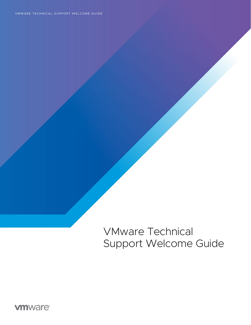VMware Technical Support Welcome Guide

**vmware®**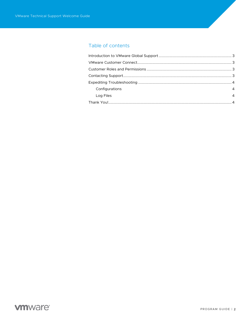## Table of contents

| Configurations | 4              |
|----------------|----------------|
| Log Files      | $\overline{4}$ |
|                |                |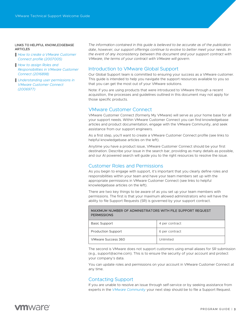#### LINKS TO HELPFUL KNOWLEDGEBASE **ARTICLES**

- *[How to create a VMware Customer](https://kb.vmware.com/s/article/2007005?lang=en_US&queryTerm=register+for+a+my+vmware+account)  [Connect profile \(2007005\)](https://kb.vmware.com/s/article/2007005?lang=en_US&queryTerm=register+for+a+my+vmware+account)*
- *[How to assign Roles and](https://kb.vmware.com/s/article/2016898?lang=en_US&queryTerm=procurement+contact)  [Responsibilities in VMware Customer](https://kb.vmware.com/s/article/2016898?lang=en_US&queryTerm=procurement+contact)  [Connect \(2016898\)](https://kb.vmware.com/s/article/2016898?lang=en_US&queryTerm=procurement+contact)*
- *[Understanding user permissions in](https://kb.vmware.com/s/article/2006977)  [VMware Customer Connect](https://kb.vmware.com/s/article/2006977)  [\(2006977\)](https://kb.vmware.com/s/article/2006977)*

*The information contained in this guide is believed to be accurate as of the publication date, however, our support offerings continue to evolve to better meet your needs. In the event of any inconsistency between this document and your support contract with VMware, the terms of your contract with VMware will govern.* 

## Introduction to VMware Global Support

Our Global Support team is committed to ensuring your success as a VMware customer. This guide is intended to help you navigate the support resources available to you so that you can get the most out of your VMware solutions.

Note: if you are using products that were introduced to VMware through a recent acquisition, the processes and guidelines outlined in this document may not apply for those specific products.

### VMware Customer Connect

VMware Customer Connect (formerly My VMware) will serve as your home base for all your support needs. Within VMware Customer Connect you can find knowledgebase articles and product documentation, engage with the VMware Community, and seek assistance from our support engineers.

As a first step, you'll want to create a VMware Customer Connect profile (see links to helpful knowledgebase articles on the left).

Anytime you have a product issue, VMware Customer Connect should be your first destination. Describe your issue in the search bar, providing as many details as possible, and our AI powered search will guide you to the right resources to resolve the issue.

### Customer Roles and Permissions

VMware Success 360 Unlimited

As you begin to engage with support, it's important that you clearly define roles and responsibilities within your team and have your team members set up with the appropriate permissions in VMware Customer Connect (see links to helpful knowledgebase articles on the left).

There are two key things to be aware of as you set up your team members with permissions. The first is that your maximum allowed administrators who will have the ability to file Support Requests (SR) is governed by your support contract.

| <b>MAXIMUM NUMBER OF ADMINISTRATORS WITH FILE SUPPORT REQUEST</b><br><b>PERMISSIONS</b> |                |  |
|-----------------------------------------------------------------------------------------|----------------|--|
| Basic Support                                                                           | 4 per contract |  |
| <b>Production Support</b>                                                               | 6 per contract |  |

### The second is VMware does not support customers using email aliases for SR submission (e.g., support@acme.com). This is to ensure the security of your account and protect your company's data.

You can update roles and permissions on your account in VMware Customer Connect at any time.

## Contacting Support

If you are unable to resolve an issue through self-service or by seeking assistance from experts in the *[VMware Community](https://communities.vmware.com/)* your next step should be to file a Support Request.

# **vm**ware<sup>®</sup>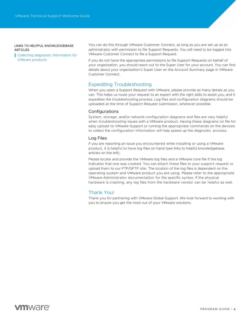#### LINKS TO HELPFUL KNOWLEDGEBASE **ARTICLES**

*[Collecting diagnostic information for](https://kb.vmware.com/s/article/1008524)  [VMware products](https://kb.vmware.com/s/article/1008524)*

You can do this through VMware Customer Connect, as long as you are set up as an administrator with permission to file Support Requests. You will need to be logged into VMware Customer Connect to file a Support Request.

If you do not have the appropriate permissions to file Support Requests on behalf of your organization, you should reach out to the Super User for your account. You can find details about your organization's Super User on the Account Summary page in VMware Customer Connect.

### Expediting Troubleshooting

When you open a Support Request with VMware, please provide as many details as you can. This helps us route your request to an expert with the right skills to assist you, and it expedites the troubleshooting process. Log files and configuration diagrams should be uploaded at the time of Support Request submission, wherever possible.

### **Configurations**

System, storage, and/or network configuration diagrams and files are very helpful when troubleshooting issues with a VMware product. Having these diagrams on file for easy upload to VMware Support or running the appropriate commands on the devices to collect the configuration information will help speed up the diagnostic process.

### Log Files

If you are reporting an issue you encountered while installing or using a VMware product, it is helpful to have log files on hand (see links to helpful knowledgebase articles on the left).

Please locate and provide the VMware log files and a VMware core file if the log indicates that one was created. You can attach these files to your support request or upload them to our FTP/SFTP site. The location of the log files is dependent on the operating system and VMware product you are using. Please refer to the appropriate VMware Administrator documentation for the specific syntax. If the physical hardware is crashing, any log files from the hardware vendor can be helpful as well.

## Thank You!

Thank you for partnering with VMware Global Support. We look forward to working with you to ensure you get the most out of your VMware solutions.

## **vm**ware<sup>®</sup>